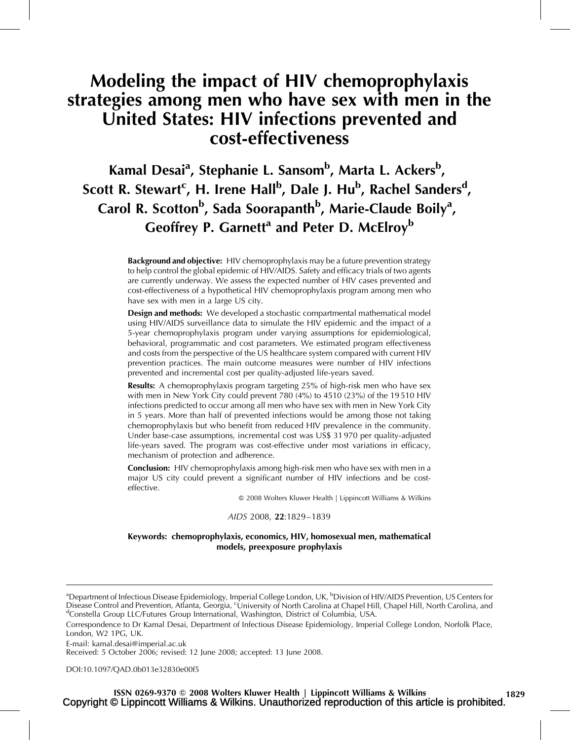# Modeling the impact of HIV chemoprophylaxis strategies among men who have sex with men in the United States: HIV infections prevented and cost-effectiveness

# Kamal Desai<sup>a</sup>, Stephanie L. Sansom<sup>b</sup>, Marta L. Ackers<sup>b</sup>, Scott R. Stewart<sup>c</sup>, H. Irene Hall<sup>b</sup>, Dale J. Hu<sup>b</sup>, Rachel Sanders<sup>d</sup>, Carol R. Scotton<sup>b</sup>, Sada Soorapanth<sup>b</sup>, Marie-Claude Boily<sup>a</sup>, Geoffrey P. Garnett<sup>a</sup> and Peter D. McElroy<sup>b</sup>

**Background and objective:** HIV chemoprophylaxis may be a future prevention strategy to help control the global epidemic of HIV/AIDS. Safety and efficacy trials of two agents are currently underway. We assess the expected number of HIV cases prevented and cost-effectiveness of a hypothetical HIV chemoprophylaxis program among men who have sex with men in a large US city.

**Design and methods:** We developed a stochastic compartmental mathematical model using HIV/AIDS surveillance data to simulate the HIV epidemic and the impact of a 5-year chemoprophylaxis program under varying assumptions for epidemiological, behavioral, programmatic and cost parameters. We estimated program effectiveness and costs from the perspective of the US healthcare system compared with current HIV prevention practices. The main outcome measures were number of HIV infections prevented and incremental cost per quality-adjusted life-years saved.

Results: A chemoprophylaxis program targeting 25% of high-risk men who have sex with men in New York City could prevent 780 (4%) to 4510 (23%) of the 19 510 HIV infections predicted to occur among all men who have sex with men in New York City in 5 years. More than half of prevented infections would be among those not taking chemoprophylaxis but who benefit from reduced HIV prevalence in the community. Under base-case assumptions, incremental cost was US\$ 31 970 per quality-adjusted life-years saved. The program was cost-effective under most variations in efficacy, mechanism of protection and adherence.

**Conclusion:** HIV chemoprophylaxis among high-risk men who have sex with men in a major US city could prevent a significant number of HIV infections and be costeffective.

2008 Wolters Kluwer Health | Lippincott Williams & Wilkins

#### AIDS 2008, 22*:*1829–1839

### Keywords: chemoprophylaxis, economics, HIV, homosexual men, mathematical models, preexposure prophylaxis

E-mail: [kamal.desai@imperial.ac.uk](mailto:kamal.desai@imperial.ac.uk)

Received: 5 October 2006; revised: 12 June 2008; accepted: 13 June 2008.

DOI[:10.1097/QAD.0b013e32830e00f5](http://dx.doi.org/10.1097/QAD.0b013e32830e00f5)

<sup>&</sup>lt;sup>a</sup>Department of Infectious Disease Epidemiology, Imperial College London, UK, <sup>b</sup>Division of HIV/AIDS Prevention, US Centers for Disease Control and Prevention, Atlanta, Georgia, <sup>c</sup>University of North Carolina at Chapel Hill, Chapel Hill, North Carolina, and<br><sup>d</sup>Constella Croup H.C/Eutures Croup International Washington, District of Columbia, USA <sup>d</sup>Constella Group LLC/Futures Group International, Washington, District of Columbia, USA.

Correspondence to Dr Kamal Desai, Department of Infectious Disease Epidemiology, Imperial College London, Norfolk Place, London, W2 1PG, UK.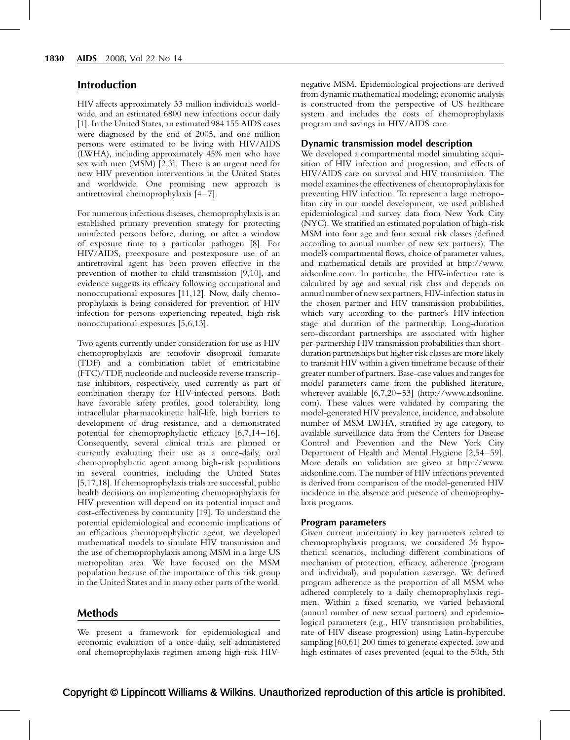# Introduction

HIV affects approximately 33 million individuals worldwide, and an estimated 6800 new infections occur daily [\[1\]](#page-8-0). In the United States, an estimated 984 155 AIDS cases were diagnosed by the end of 2005, and one million persons were estimated to be living with HIV/AIDS (LWHA), including approximately 45% men who have sex with men (MSM) [\[2,3\]](#page-8-0). There is an urgent need for new HIV prevention interventions in the United States and worldwide. One promising new approach is antiretroviral chemoprophylaxis [\[4–7\].](#page-8-0)

For numerous infectious diseases, chemoprophylaxis is an established primary prevention strategy for protecting uninfected persons before, during, or after a window of exposure time to a particular pathogen [\[8\]](#page-8-0). For HIV/AIDS, preexposure and postexposure use of an antiretroviral agent has been proven effective in the prevention of mother-to-child transmission [\[9,10\]](#page-8-0), and evidence suggests its efficacy following occupational and nonoccupational exposures [\[11,12\]](#page-8-0). Now, daily chemoprophylaxis is being considered for prevention of HIV infection for persons experiencing repeated, high-risk nonoccupational exposures [\[5,6,13\].](#page-8-0)

Two agents currently under consideration for use as HIV chemoprophylaxis are tenofovir disoproxil fumarate (TDF) and a combination tablet of emtricitabine (FTC)/TDF, nucleotide and nucleoside reverse transcriptase inhibitors, respectively, used currently as part of combination therapy for HIV-infected persons. Both have favorable safety profiles, good tolerability, long intracellular pharmacokinetic half-life, high barriers to development of drug resistance, and a demonstrated potential for chemoprophylactic efficacy [\[6,7,14–16\]](#page-8-0). Consequently, several clinical trials are planned or currently evaluating their use as a once-daily, oral chemoprophylactic agent among high-risk populations in several countries, including the United States [\[5,17,18\]](#page-8-0). If chemoprophylaxis trials are successful, public health decisions on implementing chemoprophylaxis for HIV prevention will depend on its potential impact and cost-effectiveness by community [\[19\].](#page-9-0) To understand the potential epidemiological and economic implications of an efficacious chemoprophylactic agent, we developed mathematical models to simulate HIV transmission and the use of chemoprophylaxis among MSM in a large US metropolitan area. We have focused on the MSM population because of the importance of this risk group in the United States and in many other parts of the world.

# Methods

We present a framework for epidemiological and economic evaluation of a once-daily, self-administered oral chemoprophylaxis regimen among high-risk HIV-

negative MSM. Epidemiological projections are derived from dynamic mathematical modeling; economic analysis is constructed from the perspective of US healthcare system and includes the costs of chemoprophylaxis program and savings in HIV/AIDS care.

#### Dynamic transmission model description

We developed a compartmental model simulating acquisition of HIV infection and progression, and effects of HIV/AIDS care on survival and HIV transmission. The model examines the effectiveness of chemoprophylaxis for preventing HIV infection. To represent a large metropolitan city in our model development, we used published epidemiological and survey data from New York City (NYC). We stratified an estimated population of high-risk MSM into four age and four sexual risk classes (defined according to annual number of new sex partners). The model's compartmental flows, choice of parameter values, and mathematical details are provided at [http://www.](http://www.aidsonline.com/) [aidsonline.com.](http://www.aidsonline.com/) In particular, the HIV-infection rate is calculated by age and sexual risk class and depends on annual number of new sex partners, HIV-infection status in the chosen partner and HIV transmission probabilities, which vary according to the partner's HIV-infection stage and duration of the partnership. Long-duration sero-discordant partnerships are associated with higher per-partnership HIV transmission probabilities than shortduration partnerships but higher risk classes are more likely to transmit HIV within a given timeframe because of their greater number of partners. Base-case values and ranges for model parameters came from the published literature, wherever available [\[6,7,20–53\]](#page-8-0) ([http://www.aidsonline.](http://www.aidsonline.com/) [com\)](http://www.aidsonline.com/). These values were validated by comparing the model-generated HIV prevalence, incidence, and absolute number of MSM LWHA, stratified by age category, to available surveillance data from the Centers for Disease Control and Prevention and the New York City Department of Health and Mental Hygiene [\[2,54–59\]](#page-8-0). More details on validation are given at [http://www.](http://www.aidsonline.com/) [aidsonline.com.](http://www.aidsonline.com/) The number of HIV infections prevented is derived from comparison of the model-generated HIV incidence in the absence and presence of chemoprophylaxis programs.

#### Program parameters

Given current uncertainty in key parameters related to chemoprophylaxis programs, we considered 36 hypothetical scenarios, including different combinations of mechanism of protection, efficacy, adherence (program and individual), and population coverage. We defined program adherence as the proportion of all MSM who adhered completely to a daily chemoprophylaxis regimen. Within a fixed scenario, we varied behavioral (annual number of new sexual partners) and epidemiological parameters (e.g., HIV transmission probabilities, rate of HIV disease progression) using Latin-hypercube sampling [\[60,61\]](#page-10-0) 200 times to generate expected, low and high estimates of cases prevented (equal to the 50th, 5th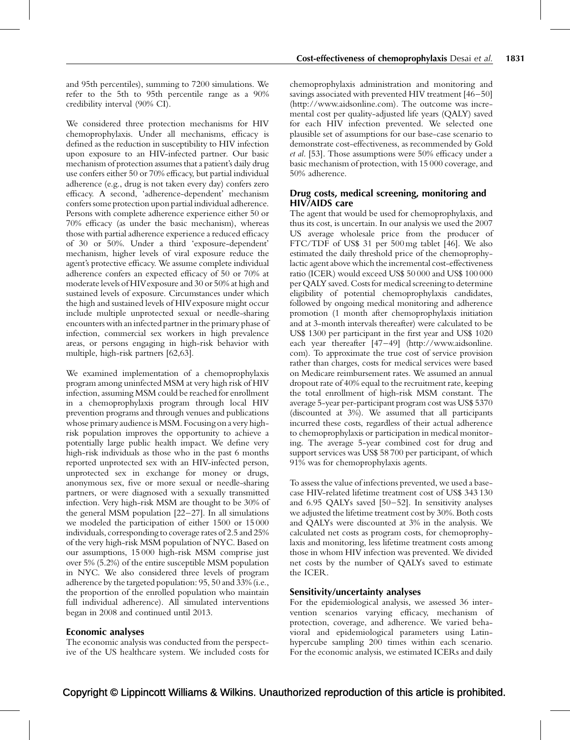and 95th percentiles), summing to 7200 simulations. We refer to the 5th to 95th percentile range as a 90% credibility interval (90% CI).

We considered three protection mechanisms for HIV chemoprophylaxis. Under all mechanisms, efficacy is defined as the reduction in susceptibility to HIV infection upon exposure to an HIV-infected partner. Our basic mechanism of protection assumes that a patient's daily drug use confers either 50 or 70% efficacy, but partial individual adherence (e.g., drug is not taken every day) confers zero efficacy. A second, 'adherence-dependent' mechanism confers some protection upon partial individual adherence. Persons with complete adherence experience either 50 or 70% efficacy (as under the basic mechanism), whereas those with partial adherence experience a reduced efficacy of 30 or 50%. Under a third 'exposure-dependent' mechanism, higher levels of viral exposure reduce the agent's protective efficacy. We assume complete individual adherence confers an expected efficacy of 50 or 70% at moderate levels of HIVexposure and 30 or 50% at high and sustained levels of exposure. Circumstances under which the high and sustained levels of HIVexposure might occur include multiple unprotected sexual or needle-sharing encounters with an infected partner in the primary phase of infection, commercial sex workers in high prevalence areas, or persons engaging in high-risk behavior with multiple, high-risk partners [\[62,63\].](#page-10-0)

We examined implementation of a chemoprophylaxis program among uninfected MSM at very high risk of HIV infection, assuming MSM could be reached for enrollment in a chemoprophylaxis program through local HIV prevention programs and through venues and publications whose primaryaudience is MSM. Focusing on avery highrisk population improves the opportunity to achieve a potentially large public health impact. We define very high-risk individuals as those who in the past 6 months reported unprotected sex with an HIV-infected person, unprotected sex in exchange for money or drugs, anonymous sex, five or more sexual or needle-sharing partners, or were diagnosed with a sexually transmitted infection. Very high-risk MSM are thought to be 30% of the general MSM population  $[22-27]$ . In all simulations we modeled the participation of either 1500 or 15 000 individuals, corresponding to coverage rates of 2.5 and 25% of the very high-risk MSM population of NYC. Based on our assumptions, 15 000 high-risk MSM comprise just over 5% (5.2%) of the entire susceptible MSM population in NYC. We also considered three levels of program adherence by the targeted population: 95, 50 and 33% (i.e., the proportion of the enrolled population who maintain full individual adherence). All simulated interventions began in 2008 and continued until 2013.

# Economic analyses

The economic analysis was conducted from the perspective of the US healthcare system. We included costs for

chemoprophylaxis administration and monitoring and savings associated with prevented HIV treatment [\[46–50\]](#page-9-0) ([http://www.aidsonline.com\)](http://www.aidsonline.com/). The outcome was incremental cost per quality-adjusted life years (QALY) saved for each HIV infection prevented. We selected one plausible set of assumptions for our base-case scenario to demonstrate cost-effectiveness, as recommended by Gold et al. [\[53\].](#page-9-0) Those assumptions were 50% efficacy under a basic mechanism of protection, with 15 000 coverage, and 50% adherence.

# Drug costs, medical screening, monitoring and HIV/AIDS care

The agent that would be used for chemoprophylaxis, and thus its cost, is uncertain. In our analysis we used the 2007 US average wholesale price from the producer of FTC/TDF of US\$ 31 per 500 mg tablet [\[46\].](#page-9-0) We also estimated the daily threshold price of the chemoprophylactic agent above which the incremental cost-effectiveness ratio (ICER) would exceed US\$ 50 000 and US\$ 100 000 per QALY saved. Costs for medical screening to determine eligibility of potential chemoprophylaxis candidates, followed by ongoing medical monitoring and adherence promotion (1 month after chemoprophylaxis initiation and at 3-month intervals thereafter) were calculated to be US\$ 1300 per participant in the first year and US\$ 1020 each year thereafter [\[47–49\]](#page-9-0) ([http://www.aidsonline.](http://www.aidsonline.com/) [com\)](http://www.aidsonline.com/). To approximate the true cost of service provision rather than charges, costs for medical services were based on Medicare reimbursement rates. We assumed an annual dropout rate of 40% equal to the recruitment rate, keeping the total enrollment of high-risk MSM constant. The average 5-year per-participant program cost was US\$ 5370 (discounted at 3%). We assumed that all participants incurred these costs, regardless of their actual adherence to chemoprophylaxis or participation in medical monitoring. The average 5-year combined cost for drug and support services was US\$ 58 700 per participant, of which 91% was for chemoprophylaxis agents.

To assess the value of infections prevented, we used a basecase HIV-related lifetime treatment cost of US\$ 343 130 and 6.95 QALYs saved [\[50–52\]](#page-9-0). In sensitivity analyses we adjusted the lifetime treatment cost by 30%. Both costs and QALYs were discounted at 3% in the analysis. We calculated net costs as program costs, for chemoprophylaxis and monitoring, less lifetime treatment costs among those in whom HIV infection was prevented. We divided net costs by the number of QALYs saved to estimate the ICER.

# Sensitivity/uncertainty analyses

For the epidemiological analysis, we assessed 36 intervention scenarios varying efficacy, mechanism of protection, coverage, and adherence. We varied behavioral and epidemiological parameters using Latinhypercube sampling 200 times within each scenario. For the economic analysis, we estimated ICERs and daily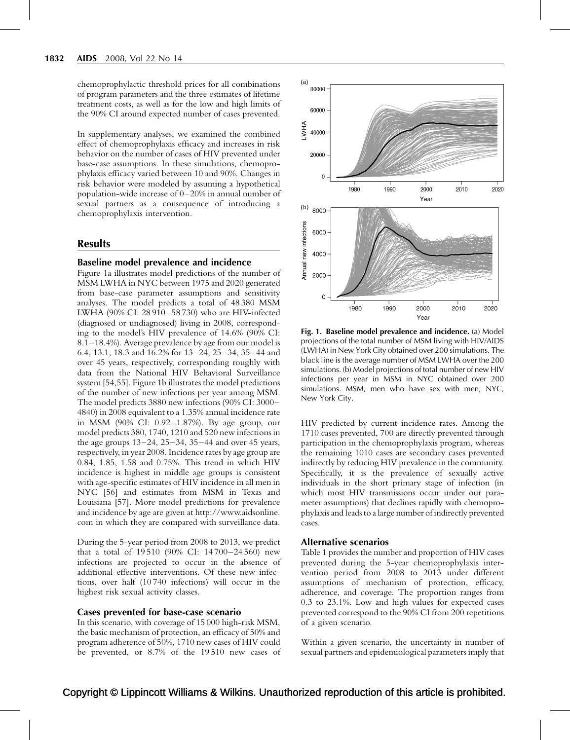chemoprophylactic threshold prices for all combinations of program parameters and the three estimates of lifetime treatment costs, as well as for the low and high limits of the 90% CI around expected number of cases prevented.

In supplementary analyses, we examined the combined effect of chemoprophylaxis efficacy and increases in risk behavior on the number of cases of HIV prevented under base-case assumptions. In these simulations, chemoprophylaxis efficacy varied between 10 and 90%. Changes in risk behavior were modeled by assuming a hypothetical population-wide increase of 0–20% in annual number of sexual partners as a consequence of introducing a chemoprophylaxis intervention.

# **Results**

#### Baseline model prevalence and incidence

Figure 1a illustrates model predictions of the number of MSM LWHA in NYC between 1975 and 2020 generated from base-case parameter assumptions and sensitivity analyses. The model predicts a total of 48 380 MSM LWHA (90% CI: 28 910–58 730) who are HIV-infected (diagnosed or undiagnosed) living in 2008, corresponding to the model's HIV prevalence of 14.6% (90% CI: 8.1–18.4%). Average prevalence by age from our model is 6.4, 13.1, 18.3 and 16.2% for 13–24, 25–34, 35–44 and over 45 years, respectively, corresponding roughly with data from the National HIV Behavioral Surveillance system [\[54,55\]](#page-9-0). Figure 1b illustrates the model predictions of the number of new infections per year among MSM. The model predicts 3880 new infections (90% CI: 3000– 4840) in 2008 equivalent to a 1.35% annual incidence rate in MSM (90% CI: 0.92–1.87%). By age group, our model predicts 380, 1740, 1210 and 520 new infections in the age groups 13–24, 25–34, 35–44 and over 45 years, respectively, in year 2008. Incidence rates by age group are 0.84, 1.85, 1.58 and 0.75%. This trend in which HIV incidence is highest in middle age groups is consistent with age-specific estimates of HIV incidence in all men in NYC [\[56\]](#page-9-0) and estimates from MSM in Texas and Louisiana [\[57\]](#page-9-0). More model predictions for prevalence and incidence by age are given at [http://www.aidsonline.](http://www.aidsonline.com/) [com](http://www.aidsonline.com/) in which they are compared with surveillance data.

During the 5-year period from 2008 to 2013, we predict that a total of 19 510 (90% CI: 14 700–24 560) new infections are projected to occur in the absence of additional effective interventions. Of these new infections, over half (10 740 infections) will occur in the highest risk sexual activity classes.

#### Cases prevented for base-case scenario

In this scenario, with coverage of 15 000 high-risk MSM, the basic mechanism of protection, an efficacy of 50% and program adherence of 50%, 1710 new cases of HIV could be prevented, or 8.7% of the 19 510 new cases of



Fig. 1. Baseline model prevalence and incidence. (a) Model projections of the total number of MSM living with HIV/AIDS (LWHA) in New York City obtained over 200 simulations. The black line is the average number of MSM LWHA over the 200 simulations. (b) Model projections of total number of new HIV infections per year in MSM in NYC obtained over 200 simulations. MSM, men who have sex with men; NYC, New York City.

HIV predicted by current incidence rates. Among the 1710 cases prevented, 700 are directly prevented through participation in the chemoprophylaxis program, whereas the remaining 1010 cases are secondary cases prevented indirectly by reducing HIV prevalence in the community. Specifically, it is the prevalence of sexually active individuals in the short primary stage of infection (in which most HIV transmissions occur under our parameter assumptions) that declines rapidly with chemoprophylaxis and leads to a large number of indirectly prevented cases.

# Alternative scenarios

[Table 1](#page-4-0) provides the number and proportion of HIV cases prevented during the 5-year chemoprophylaxis intervention period from 2008 to 2013 under different assumptions of mechanism of protection, efficacy, adherence, and coverage. The proportion ranges from 0.3 to 23.1%. Low and high values for expected cases prevented correspond to the 90% CI from 200 repetitions of a given scenario.

Within a given scenario, the uncertainty in number of sexual partners and epidemiological parameters imply that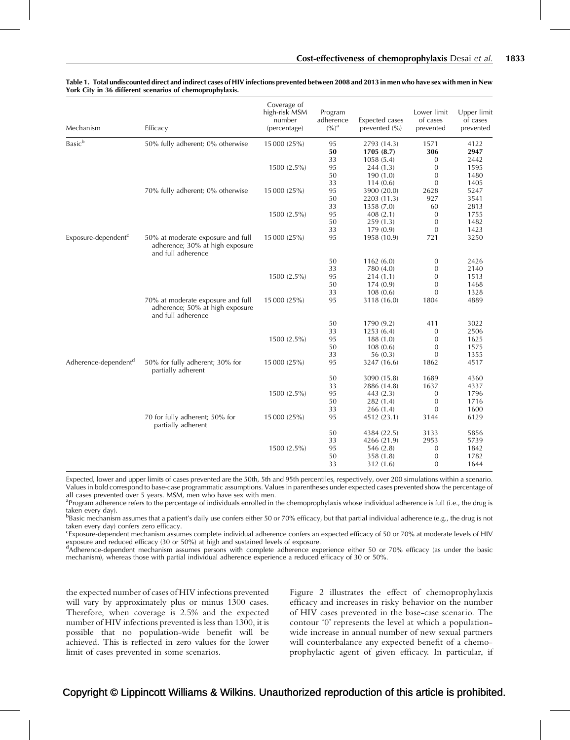| Mechanism                                  | Efficacy                                                                                   | Coverage of<br>high-risk MSM<br>number<br>(percentage) | Program<br>adherence<br>$(9/0)^a$ | Expected cases<br>prevented (%) | Lower limit<br>of cases<br>prevented | Upper limit<br>of cases<br>prevented |
|--------------------------------------------|--------------------------------------------------------------------------------------------|--------------------------------------------------------|-----------------------------------|---------------------------------|--------------------------------------|--------------------------------------|
| $\ensuremath{\mathsf{Basic}}^{\mathsf{b}}$ | 50% fully adherent; 0% otherwise                                                           | 15 000 (25%)                                           | 95                                | 2793 (14.3)                     | 1571                                 | 4122                                 |
|                                            |                                                                                            |                                                        | 50                                | 1705(8.7)                       | 306                                  | 2947                                 |
|                                            |                                                                                            |                                                        | 33                                | 1058(5.4)                       | $\mathbf{0}$                         | 2442                                 |
|                                            |                                                                                            | 1500 (2.5%)                                            | 95                                | 244(1.3)                        | $\mathbf{0}$                         | 1595                                 |
|                                            |                                                                                            |                                                        | 50                                | 190(1.0)                        | $\mathbf{0}$                         | 1480                                 |
|                                            |                                                                                            |                                                        | 33                                | 114(0.6)                        | $\overline{0}$                       | 1405                                 |
|                                            | 70% fully adherent; 0% otherwise                                                           | 15 000 (25%)                                           | 95                                | 3900 (20.0)                     | 2628                                 | 5247                                 |
|                                            |                                                                                            |                                                        | 50                                | 2203 (11.3)                     | 927                                  | 3541                                 |
|                                            |                                                                                            |                                                        | 33                                | 1358 (7.0)                      | 60                                   | 2813                                 |
|                                            |                                                                                            | 1500 (2.5%)                                            | 95                                | 408(2.1)                        | $\mathbf{0}$                         | 1755                                 |
|                                            |                                                                                            |                                                        | 50                                | 259(1.3)                        | $\boldsymbol{0}$                     | 1482                                 |
|                                            |                                                                                            |                                                        | 33                                | 179(0.9)                        | $\boldsymbol{0}$                     | 1423                                 |
| Exposure-dependent <sup>c</sup>            | 50% at moderate exposure and full<br>adherence; 30% at high exposure<br>and full adherence | 15 000 (25%)                                           | 95                                | 1958 (10.9)                     | 721                                  | 3250                                 |
|                                            |                                                                                            |                                                        | 50                                | 1162(6.0)                       | 0                                    | 2426                                 |
|                                            |                                                                                            |                                                        | 33                                | 780 (4.0)                       | $\mathbf{0}$                         | 2140                                 |
|                                            |                                                                                            | 1500 (2.5%)                                            | 95                                | 214(1.1)                        | $\boldsymbol{0}$                     | 1513                                 |
|                                            |                                                                                            |                                                        | 50                                | 174(0.9)                        | $\boldsymbol{0}$                     | 1468                                 |
|                                            |                                                                                            |                                                        | 33                                | 108(0.6)                        | $\boldsymbol{0}$                     | 1328                                 |
|                                            | 70% at moderate exposure and full<br>adherence; 50% at high exposure<br>and full adherence | 15 000 (25%)                                           | 95                                | 3118 (16.0)                     | 1804                                 | 4889                                 |
|                                            |                                                                                            |                                                        | 50                                | 1790 (9.2)                      | 411                                  | 3022                                 |
|                                            |                                                                                            |                                                        | 33                                | 1253(6.4)                       | $\mathbf{0}$                         | 2506                                 |
|                                            |                                                                                            | 1500 (2.5%)                                            | 95                                | 188(1.0)                        | 0                                    | 1625                                 |
|                                            |                                                                                            |                                                        | 50                                | 108(0.6)                        | $\mathbf{0}$                         | 1575                                 |
|                                            |                                                                                            |                                                        | 33                                | 56 (0.3)                        | $\mathbf{0}$                         | 1355                                 |
| Adherence-dependent <sup>a</sup>           | 50% for fully adherent; 30% for<br>partially adherent                                      | 15 000 (25%)                                           | 95                                | 3247 (16.6)                     | 1862                                 | 4517                                 |
|                                            |                                                                                            |                                                        | 50                                | 3090 (15.8)                     | 1689                                 | 4360                                 |
|                                            |                                                                                            |                                                        | 33                                | 2886 (14.8)                     | 1637                                 | 4337                                 |
|                                            |                                                                                            | 1500 (2.5%)                                            | 95                                | 443 (2.3)                       | $\mathbf{0}$                         | 1796                                 |
|                                            |                                                                                            |                                                        | 50                                | 282 (1.4)                       | $\boldsymbol{0}$                     | 1716                                 |
|                                            |                                                                                            |                                                        | 33                                | 266 (1.4)                       | $\mathbf{0}$                         | 1600                                 |
|                                            | 70 for fully adherent; 50% for<br>partially adherent                                       | 15 000 (25%)                                           | 95                                | 4512 (23.1)                     | 3144                                 | 6129                                 |
|                                            |                                                                                            |                                                        | 50                                | 4384 (22.5)                     | 3133                                 | 5856                                 |
|                                            |                                                                                            |                                                        | 33                                | 4266 (21.9)                     | 2953                                 | 5739                                 |
|                                            |                                                                                            | 1500 (2.5%)                                            | 95                                | 546 (2.8)                       | $\mathbf{0}$                         | 1842                                 |
|                                            |                                                                                            |                                                        | 50                                | 358 (1.8)                       | $\boldsymbol{0}$                     | 1782                                 |
|                                            |                                                                                            |                                                        | 33                                | 312 (1.6)                       | $\Omega$                             | 1644                                 |

#### <span id="page-4-0"></span>Table 1. Total undiscounted direct and indirect cases of HIV infections prevented between 2008 and 2013 in men who have sex with men in New York City in 36 different scenarios of chemoprophylaxis.

Expected, lower and upper limits of cases prevented are the 50th, 5th and 95th percentiles, respectively, over 200 simulations within a scenario. Values in bold correspond to base-case programmatic assumptions. Values in parentheses under expected cases prevented show the percentage of all cases prevented over 5 years. MSM, men who have sex with men.

<sup>a</sup>Program adherence refers to the percentage of individuals enrolled in the chemoprophylaxis whose individual adherence is full (i.e., the drug is taken every day).

 $^{\rm b}$ Basic mechanism assumes that a patient's daily use confers either 50 or 70% efficacy, but that partial individual adherence (e.g., the drug is not taken every day) confers zero efficacy.

Exposure-dependent mechanism assumes complete individual adherence confers an expected efficacy of 50 or 70% at moderate levels of HIV exposure and reduced efficacy (30 or 50%) at high and sustained levels of exposure.

d Adherence-dependent mechanism assumes persons with complete adherence experience either 50 or 70% efficacy (as under the basic mechanism), whereas those with partial individual adherence experience a reduced efficacy of 30 or 50%.

the expected number of cases of HIV infections prevented will vary by approximately plus or minus 1300 cases. Therefore, when coverage is 2.5% and the expected number of HIV infections prevented is less than 1300, it is possible that no population-wide benefit will be achieved. This is reflected in zero values for the lower limit of cases prevented in some scenarios.

[Figure 2](#page-5-0) illustrates the effect of chemoprophylaxis efficacy and increases in risky behavior on the number of HIV cases prevented in the base-case scenario. The contour '0' represents the level at which a populationwide increase in annual number of new sexual partners will counterbalance any expected benefit of a chemoprophylactic agent of given efficacy. In particular, if

# Copyright © Lippincott Williams & Wilkins. Unauthorized reproduction of this article is prohibited.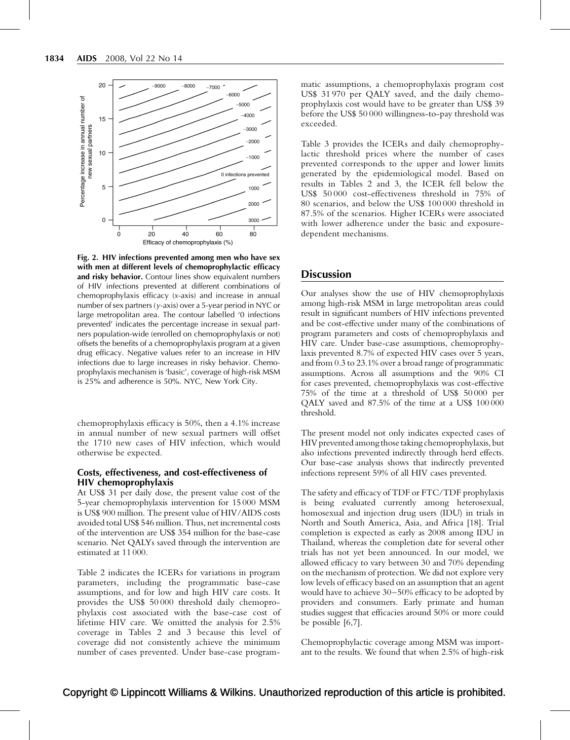<span id="page-5-0"></span>

Fig. 2. HIV infections prevented among men who have sex with men at different levels of chemoprophylactic efficacy and risky behavior. Contour lines show equivalent numbers of HIV infections prevented at different combinations of chemoprophylaxis efficacy (x-axis) and increase in annual number of sex partners (y-axis) over a 5-year period in NYC or large metropolitan area. The contour labelled '0 infections prevented' indicates the percentage increase in sexual partners population-wide (enrolled on chemoprophylaxis or not) offsets the benefits of a chemoprophylaxis program at a given drug efficacy. Negative values refer to an increase in HIV infections due to large increases in risky behavior. Chemoprophylaxis mechanism is 'basic', coverage of high-risk MSM is 25% and adherence is 50%. NYC, New York City.

chemoprophylaxis efficacy is 50%, then a 4.1% increase in annual number of new sexual partners will offset the 1710 new cases of HIV infection, which would otherwise be expected.

## Costs, effectiveness, and cost-effectiveness of HIV chemoprophylaxis

At US\$ 31 per daily dose, the present value cost of the 5-year chemoprophylaxis intervention for 15 000 MSM is US\$ 900 million. The present value of HIV/AIDS costs avoided total US\$ 546 million. Thus, net incremental costs of the intervention are US\$ 354 million for the base-case scenario. Net QALYs saved through the intervention are estimated at 11 000.

[Table 2](#page-6-0) indicates the ICERs for variations in program parameters, including the programmatic base-case assumptions, and for low and high HIV care costs. It provides the US\$ 50 000 threshold daily chemoprophylaxis cost associated with the base-case cost of lifetime HIV care. We omitted the analysis for 2.5% coverage in [Tables 2 and 3](#page-6-0) because this level of coverage did not consistently achieve the minimum number of cases prevented. Under base-case programmatic assumptions, a chemoprophylaxis program cost US\$ 31 970 per QALY saved, and the daily chemoprophylaxis cost would have to be greater than US\$ 39 before the US\$ 50 000 willingness-to-pay threshold was exceeded.

[Table 3](#page-7-0) provides the ICERs and daily chemoprophylactic threshold prices where the number of cases prevented corresponds to the upper and lower limits generated by the epidemiological model. Based on results in [Tables 2 and 3](#page-6-0), the ICER fell below the US\$ 50 000 cost-effectiveness threshold in 75% of 80 scenarios, and below the US\$ 100 000 threshold in 87.5% of the scenarios. Higher ICERs were associated with lower adherence under the basic and exposuredependent mechanisms.

# **Discussion**

Our analyses show the use of HIV chemoprophylaxis among high-risk MSM in large metropolitan areas could result in significant numbers of HIV infections prevented and be cost-effective under many of the combinations of program parameters and costs of chemoprophylaxis and HIV care. Under base-case assumptions, chemoprophylaxis prevented 8.7% of expected HIV cases over 5 years, and from 0.3 to 23.1% over a broad range of programmatic assumptions. Across all assumptions and the 90% CI for cases prevented, chemoprophylaxis was cost-effective 75% of the time at a threshold of US\$ 50 000 per QALY saved and 87.5% of the time at a US\$ 100 000 threshold.

The present model not only indicates expected cases of HIV prevented among those taking chemoprophylaxis, but also infections prevented indirectly through herd effects. Our base-case analysis shows that indirectly prevented infections represent 59% of all HIV cases prevented.

The safety and efficacy of TDF or FTC/TDF prophylaxis is being evaluated currently among heterosexual, homosexual and injection drug users (IDU) in trials in North and South America, Asia, and Africa [\[18\].](#page-8-0) Trial completion is expected as early as 2008 among IDU in Thailand, whereas the completion date for several other trials has not yet been announced. In our model, we allowed efficacy to vary between 30 and 70% depending on the mechanism of protection. We did not explore very low levels of efficacy based on an assumption that an agent would have to achieve 30–50% efficacy to be adopted by providers and consumers. Early primate and human studies suggest that efficacies around 50% or more could be possible [\[6,7\].](#page-8-0)

Chemoprophylactic coverage among MSM was important to the results. We found that when 2.5% of high-risk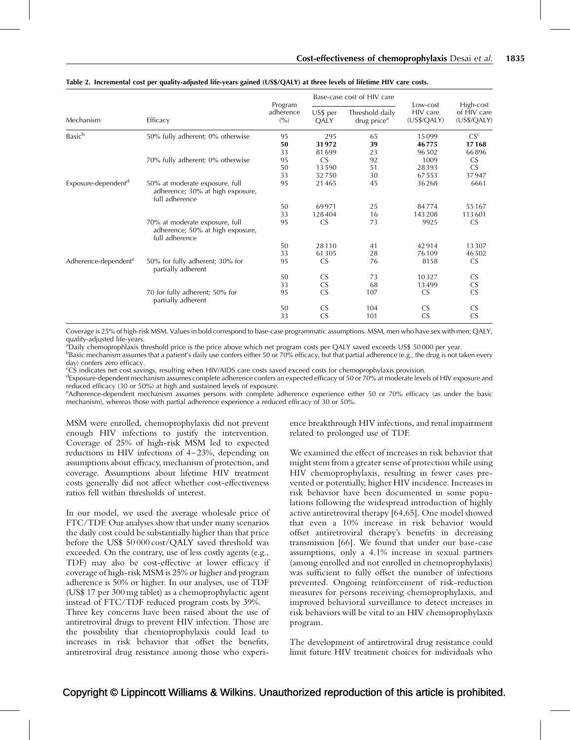| Mechanism                        | Efficacy                                                                             | Program<br>adherence<br>(9/0) | Base-case cost of HIV care |                                            |                                     |                                         |
|----------------------------------|--------------------------------------------------------------------------------------|-------------------------------|----------------------------|--------------------------------------------|-------------------------------------|-----------------------------------------|
|                                  |                                                                                      |                               | US\$ per<br>QALY           | Threshold daily<br>drug price <sup>a</sup> | Low-cost<br>HIV care<br>(US\$/QALY) | High-cost<br>of HIV care<br>(US\$/QALY) |
| Basic <sup>b</sup>               | 50% fully adherent; 0% otherwise                                                     | 95                            | 295                        | 65                                         | 15099                               | CS <sup>c</sup>                         |
|                                  |                                                                                      | 50                            | 31972                      | 39                                         | 46775                               | 17168                                   |
|                                  |                                                                                      | 33                            | 81699                      | 23                                         | 96502                               | 66896                                   |
|                                  | 70% fully adherent; 0% otherwise                                                     | 95                            | <b>CS</b>                  | 92                                         | 1009                                | <b>CS</b>                               |
|                                  |                                                                                      | 50                            | 13590                      | 51                                         | 28393                               | CS                                      |
|                                  |                                                                                      | 33                            | 52750                      | 30                                         | 67553<br>36268                      | 37947                                   |
| Exposure-dependent <sup>d</sup>  | 50% at moderate exposure, full<br>adherence; 30% at high exposure,<br>full adherence | 95                            | 21465                      | 45                                         |                                     | 6661                                    |
|                                  |                                                                                      | 50                            | 69971                      | 25                                         | 84774                               | 55167                                   |
|                                  |                                                                                      | 33                            | 128404                     | 16                                         | 143 208                             | 113601                                  |
|                                  | 70% at moderate exposure, full<br>adherence; 50% at high exposure,<br>full adherence | 95                            | <b>CS</b>                  | 73                                         | 9925                                | <b>CS</b>                               |
|                                  |                                                                                      | 50                            | 28110                      | 41                                         | 42914                               | 13307                                   |
|                                  |                                                                                      | 33                            | 61305                      | 28                                         | 76109                               | 46502                                   |
| Adherence-dependent <sup>e</sup> | 50% for fully adherent; 30% for<br>partially adherent                                | 95                            | CS                         | 76                                         | 8158                                | <b>CS</b>                               |
|                                  |                                                                                      | 50                            | <b>CS</b>                  | 73                                         | 10327                               | CS<br>CS<br>CS                          |
|                                  |                                                                                      | 33                            | ${\sf CS}$                 | 68                                         | 13499                               |                                         |
|                                  | 70 for fully adherent; 50% for<br>partially adherent                                 | 95                            | $\overline{\text{CS}}$     | 107                                        | <b>CS</b>                           |                                         |
|                                  |                                                                                      | 50                            | CS                         | 104                                        | <b>CS</b>                           | ${\sf CS}$                              |
|                                  |                                                                                      | 33                            | CS                         | 101                                        | <b>CS</b>                           | $\overline{\text{CS}}$                  |

#### <span id="page-6-0"></span>Table 2. Incremental cost per quality-adjusted life-years gained (US\$/QALY) at three levels of lifetime HIV care costs.

Coverage is 25% of high-risk MSM. Values in bold correspond to base-case programmatic assumptions. MSM, men who have sex with men; QALY, quality-adjusted life-years.

<sup>a</sup>Daily chemoprophlaxis threshold price is the price above which net program costs per QALY saved exceeds US\$ 50 000 per year.

 $^{\rm b}$ Basic mechanism assumes that a patient's daily use confers either 50 or 70% efficacy, but that partial adherence (e.g., the drug is not taken every day) confers zero efficacy.

c CS indicates net cost savings, resulting when HIV/AIDS care costs saved exceed costs for chemoprophylaxis provision.

<sup>d</sup>Exposure-dependent mechanism assumes complete adherence confers an expected efficacy of 50 or 70% at moderate levels of HIV exposure and reduced efficacy (30 or 50%) at high and sustained levels of exposure.

e Adherence-dependent mechanism assumes persons with complete adherence experience either 50 or 70% efficacy (as under the basic mechanism), whereas those with partial adherence experience a reduced efficacy of 30 or 50%.

MSM were enrolled, chemoprophylaxis did not prevent enough HIV infections to justify the intervention. Coverage of 25% of high-risk MSM led to expected reductions in HIV infections of 4–23%, depending on assumptions about efficacy, mechanism of protection, and coverage. Assumptions about lifetime HIV treatment costs generally did not affect whether cost-effectiveness ratios fell within thresholds of interest.

In our model, we used the average wholesale price of FTC/TDF. Our analyses show that under many scenarios the daily cost could be substantially higher than that price before the US\$ 50 000 cost/QALY saved threshold was exceeded. On the contrary, use of less costly agents (e.g., TDF) may also be cost-effective at lower efficacy if coverage of high-risk MSM is 25% or higher and program adherence is 50% or higher. In our analyses, use of TDF (US\$ 17 per 300 mg tablet) as a chemoprophylactic agent instead of FTC/TDF reduced program costs by 39%.

Three key concerns have been raised about the use of antiretroviral drugs to prevent HIV infection. Those are the possibility that chemoprophylaxis could lead to increases in risk behavior that offset the benefits, antiretroviral drug resistance among those who experi-

ence breakthrough HIV infections, and renal impairment related to prolonged use of TDF.

We examined the effect of increases in risk behavior that might stem from a greater sense of protection while using HIV chemoprophylaxis, resulting in fewer cases prevented or potentially, higher HIV incidence. Increases in risk behavior have been documented in some populations following the widespread introduction of highly active antiretroviral therapy [\[64,65\]](#page-10-0). One model showed that even a 10% increase in risk behavior would offset antiretroviral therapy's benefits in decreasing transmission [\[66\]](#page-10-0). We found that under our base-case assumptions, only a 4.1% increase in sexual partners (among enrolled and not enrolled in chemoprophylaxis) was sufficient to fully offset the number of infections prevented. Ongoing reinforcement of risk-reduction measures for persons receiving chemoprophylaxis, and improved behavioral surveillance to detect increases in risk behaviors will be vital to an HIV chemoprophylaxis program.

The development of antiretroviral drug resistance could limit future HIV treatment choices for individuals who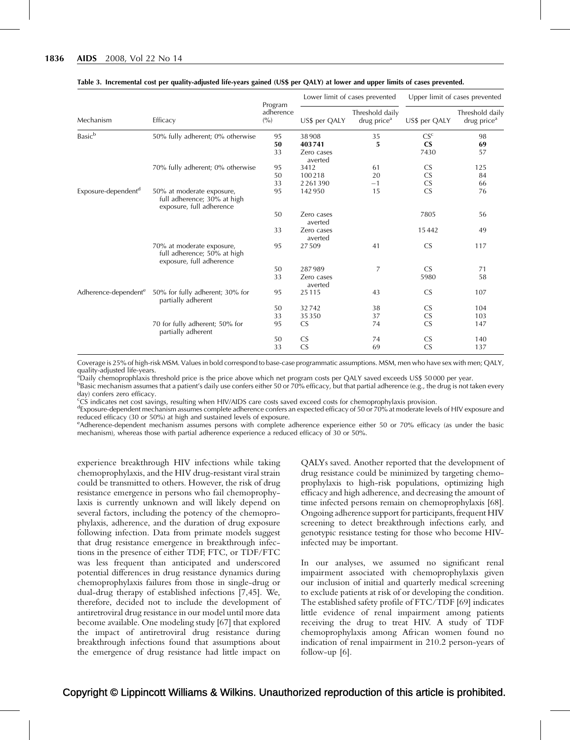| Mechanism                        | Efficacy                                                                             | Program<br>adherence<br>(9/0) | Lower limit of cases prevented |                                            | Upper limit of cases prevented |                                            |
|----------------------------------|--------------------------------------------------------------------------------------|-------------------------------|--------------------------------|--------------------------------------------|--------------------------------|--------------------------------------------|
|                                  |                                                                                      |                               | US\$ per QALY                  | Threshold daily<br>drug price <sup>a</sup> | US\$ per QALY                  | Threshold daily<br>drug price <sup>a</sup> |
| <b>Basic</b> <sup>b</sup>        | 50% fully adherent; 0% otherwise                                                     | 95                            | 38908                          | 35                                         | CS <sup>c</sup>                | 98                                         |
|                                  |                                                                                      | 50                            | 403741                         | 5                                          | $\mathbf{C}$                   | 69                                         |
|                                  |                                                                                      | 33                            | Zero cases<br>averted          |                                            | 7430                           | 57                                         |
|                                  | 70% fully adherent; 0% otherwise                                                     | 95                            | 3412                           | 61                                         | <b>CS</b>                      | 125                                        |
|                                  |                                                                                      | 50                            | 100218                         | 20                                         | CS                             | 84                                         |
|                                  |                                                                                      | 33                            | 2261390                        | $-1$                                       | $\overline{\text{CS}}$         | 66                                         |
| Exposure-dependent <sup>d</sup>  | 50% at moderate exposure,<br>full adherence; 30% at high<br>exposure, full adherence | 95                            | 142950                         | 15                                         | $\overline{\text{CS}}$         | 76                                         |
|                                  |                                                                                      | 50                            | Zero cases<br>averted          |                                            | 7805                           | 56                                         |
|                                  |                                                                                      | 33                            | Zero cases<br>averted          |                                            | 15442                          | 49                                         |
|                                  | 70% at moderate exposure,<br>full adherence; 50% at high<br>exposure, full adherence | 95                            | 27509                          | 41                                         | <b>CS</b>                      | 117                                        |
|                                  |                                                                                      | 50                            | 287989                         | 7                                          | <b>CS</b>                      | 71                                         |
|                                  |                                                                                      | 33                            | Zero cases<br>averted          |                                            | 5980                           | 58                                         |
| Adherence-dependent <sup>e</sup> | 50% for fully adherent; 30% for<br>partially adherent                                | 95                            | 25115                          | 43                                         | <b>CS</b>                      | 107                                        |
|                                  |                                                                                      | 50                            | 32742                          | 38                                         | <b>CS</b>                      | 104                                        |
|                                  |                                                                                      | 33                            | 35350                          | 37                                         | CS                             | 103                                        |
|                                  | 70 for fully adherent; 50% for<br>partially adherent                                 | 95                            | <b>CS</b>                      | 74                                         | $\overline{\text{CS}}$         | 147                                        |
|                                  |                                                                                      | 50                            | <b>CS</b>                      | 74                                         | <b>CS</b>                      | 140                                        |
|                                  |                                                                                      | 33                            | <b>CS</b>                      | 69                                         | CS                             | 137                                        |

#### <span id="page-7-0"></span>Table 3. Incremental cost per quality-adjusted life-years gained (US\$ per QALY) at lower and upper limits of cases prevented.

Coverage is 25% of high-risk MSM. Values in bold correspond to base-case programmatic assumptions. MSM, men who have sex with men; QALY,

quality-adjusted life-years. a Daily chemoprophlaxis threshold price is the price above which net program costs per QALY saved exceeds US\$ 50 000 per year.

 $^{\rm b}$ Basic mechanism assumes that a patient's daily use confers either 50 or 70% efficacy, but that partial adherence (e.g., the drug is not taken every day) confers zero efficacy.

c CS indicates net cost savings, resulting when HIV/AIDS care costs saved exceed costs for chemoprophylaxis provision.

<sup>d</sup>Exposure-dependent mechanism assumes complete adherence confers an expected efficacy of 50 or 70% at moderate levels of HIV exposure and reduced efficacy (30 or 50%) at high and sustained levels of exposure.

e<br>Adherence-dependent mechanism assumes persons with complete adherence experience either 50 or 70% efficacy (as under the basic mechanism), whereas those with partial adherence experience a reduced efficacy of 30 or 50%.

experience breakthrough HIV infections while taking chemoprophylaxis, and the HIV drug-resistant viral strain could be transmitted to others. However, the risk of drug resistance emergence in persons who fail chemoprophylaxis is currently unknown and will likely depend on several factors, including the potency of the chemoprophylaxis, adherence, and the duration of drug exposure following infection. Data from primate models suggest that drug resistance emergence in breakthrough infections in the presence of either TDF, FTC, or TDF/FTC was less frequent than anticipated and underscored potential differences in drug resistance dynamics during chemoprophylaxis failures from those in single-drug or dual-drug therapy of established infections [\[7,45\]](#page-8-0). We, therefore, decided not to include the development of antiretroviral drug resistance in our model until more data become available. One modeling study [\[67\]](#page-10-0) that explored the impact of antiretroviral drug resistance during breakthrough infections found that assumptions about the emergence of drug resistance had little impact on QALYs saved. Another reported that the development of drug resistance could be minimized by targeting chemoprophylaxis to high-risk populations, optimizing high efficacy and high adherence, and decreasing the amount of time infected persons remain on chemoprophylaxis [\[68\]](#page-10-0). Ongoing adherence support for participants, frequent HIV screening to detect breakthrough infections early, and genotypic resistance testing for those who become HIVinfected may be important.

In our analyses, we assumed no significant renal impairment associated with chemoprophylaxis given our inclusion of initial and quarterly medical screening to exclude patients at risk of or developing the condition. The established safety profile of FTC/TDF [\[69\]](#page-10-0) indicates little evidence of renal impairment among patients receiving the drug to treat HIV. A study of TDF chemoprophylaxis among African women found no indication of renal impairment in 210.2 person-years of follow-up [\[6\].](#page-8-0)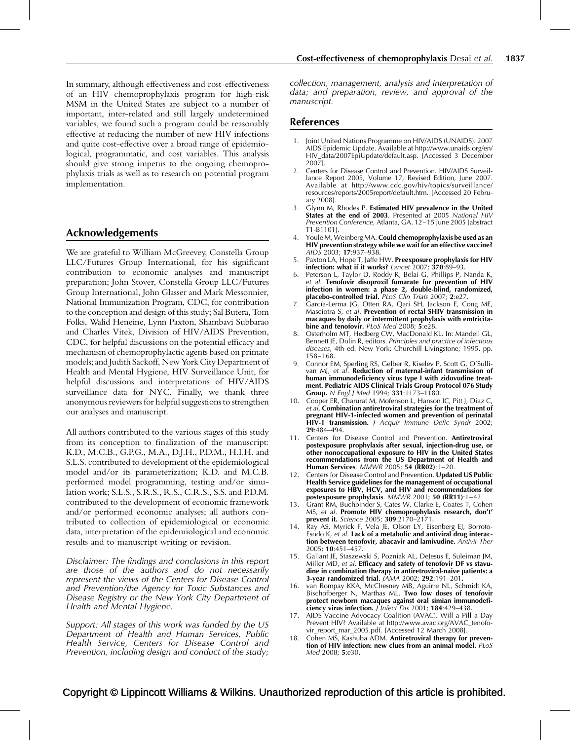<span id="page-8-0"></span>In summary, although effectiveness and cost-effectiveness of an HIV chemoprophylaxis program for high-risk MSM in the United States are subject to a number of important, inter-related and still largely undetermined variables, we found such a program could be reasonably effective at reducing the number of new HIV infections and quite cost-effective over a broad range of epidemiological, programmatic, and cost variables. This analysis should give strong impetus to the ongoing chemoprophylaxis trials as well as to research on potential program implementation.

# Acknowledgements

We are grateful to William McGreevey, Constella Group LLC/Futures Group International, for his significant contribution to economic analyses and manuscript preparation; John Stover, Constella Group LLC/Futures Group International, John Glasser and Mark Messonnier, National Immunization Program, CDC, for contribution to the conception and design of this study; Sal Butera, Tom Folks, Walid Heneine, Lynn Paxton, Shambavi Subbarao and Charles Vitek, Division of HIV/AIDS Prevention, CDC, for helpful discussions on the potential efficacy and mechanism of chemoprophylactic agents based on primate models; and Judith Sackoff, New York City Department of Health and Mental Hygiene, HIV Surveillance Unit, for helpful discussions and interpretations of HIV/AIDS surveillance data for NYC. Finally, we thank three anonymous reviewers for helpful suggestions to strengthen our analyses and manuscript.

All authors contributed to the various stages of this study from its conception to finalization of the manuscript: K.D., M.C.B., G.P.G., M.A., D.J.H., P.D.M., H.I.H. and S.L.S. contributed to development of the epidemiological model and/or its parameterization; K.D. and M.C.B. performed model programming, testing and/or simulation work; S.L.S., S.R.S., R.S., C.R.S., S.S. and P.D.M. contributed to the development of economic framework and/or performed economic analyses; all authors contributed to collection of epidemiological or economic data, interpretation of the epidemiological and economic results and to manuscript writing or revision.

Disclaimer: The findings and conclusions in this report are those of the authors and do not necessarily represent the views of the Centers for Disease Control and Prevention/the Agency for Toxic Substances and Disease Registry or the New York City Department of Health and Mental Hygiene.

Support: All stages of this work was funded by the US Department of Health and Human Services, Public Health Service, Centers for Disease Control and Prevention, including design and conduct of the study;

collection, management, analysis and interpretation of data; and preparation, review, and approval of the manuscript.

## References

- 1. Joint United Nations Programme on HIV/AIDS (UNAIDS). 2007 AIDS Epidemic Update. Available at [http://www.unaids.org/en/](http://www.unaids.org/en/HIV_data/2007EpiUpdate/default.asp) [HIV\\_data/2007EpiUpdate/default.asp.](http://www.unaids.org/en/HIV_data/2007EpiUpdate/default.asp) [Accessed 3 December 2007].
- 2. Centers for Disease Control and Prevention. HIV/AIDS Surveillance Report 2005, Volume 17, Revised Edition, June 2007. Available at [http://www.cdc.gov/hiv/topics/surveillance/](http://www.cdc.gov/hiv/topics/surveillance/resources/reports/2005report/default.htm) [resources/reports/2005report/default.htm](http://www.cdc.gov/hiv/topics/surveillance/resources/reports/2005report/default.htm). [Accessed 20 February 2008].
- 3. Glynn M, Rhodes P. Estimated HIV prevalence in the United States at the end of 2003. Presented at 2005 National HIV Prevention Conference, Atlanta, GA. 12–15 June 2005 [abstract T1-B1101].
- Youle M, Weinberg MA. Could chemoprophylaxis be used as an HIV prevention strategy while we wait for an effective vaccine? AIDS 2003; 17:937–938.
- 5. Paxton LA, Hope T, Jaffe HW. Preexposure prophylaxis for HIV infection: what if it works? Lancet 2007; 370:89–93.
- 6. Peterson L, Taylor D, Roddy R, Belai G, Phillips P, Nanda K, et al. Tenofovir disoproxil fumarate for prevention of HIV infection in women: a phase 2, double-blind, randomized, placebo-controlled trial. PLoS Clin Trials 2007; 2:e27.
- 7. García-Lerma JG, Otten RA, Qari SH, Jackson E, Cong ME, Masciotra S, et al. Prevention of rectal SHIV transmission in macaques by daily or intermittent prophylaxis with emtricitabine and tenofovir. PLoS Med 2008; 5:e28.
- 8. Osterholm MT, Hedberg CW, MacDonald KL. In: Mandell GL, Bennett JE, Dolin R, editors. Principles and practice of infectious diseases, 4th ed. New York: Churchill Livingstone; 1995. pp. 158–168.
- 9. Connor EM, Sperling RS, Gelber R, Kiselev P, Scott G, O'Sullivan MJ, et al. Reduction of maternal-infant transmission of human immunodeficiency virus type I with zidovudine treatment. Pediatric AIDS Clinical Trials Group Protocol 076 Study Group. N Engl J Med 1994; 331:1173-1180.
- 10. Cooper ER, Charurat M, Mofenson L, Hanson IC, Pitt J, Diaz C, et al. Combination antiretroviral strategies for the treatment of pregnant HIV-1-infected women and prevention of perinatal HIV-1 transmission. J Acquir Immune Defic Syndr 2002; 29:484–494.
- 11. Centers for Disease Control and Prevention. Antiretroviral postexposure prophylaxis after sexual, injection-drug use, or other nonoccupational exposure to HIV in the United States recommendations from the US Department of Health and Human Services. MMWR 2005; 54 (RR02):1–20.
- 12. Centers for Disease Control and Prevention. Updated US Public Health Service guidelines for the management of occupational exposures to HBV, HCV, and HIV and recommendations for postexposure prophylaxis. MMWR 2001; 50 (RR11):1–42.
- 13. Grant RM, Buchbinder S, Cates W, Clarke E, Coates T, Cohen MS, et al. Promote HIV chemoprophylaxis research, don't' prevent it. Science 2005; 309:2170–2171.
- 14. Ray AS, Myrick F, Vela JE, Olson LY, Eisenberg EJ, Borroto-Esodo K,  $et$  al. Lack of a metabolic and antiviral drug interaction between tenofovir, abacavir and lamivudine. Antivir Ther 2005; 10:451–457.
- 15. Gallant JE, Staszewski S, Pozniak AL, DeJesus E, Suleiman JM, Miller MD, et al. Efficacy and safety of tenofovir DF vs stavudine in combination therapy in antiretroviral-naive patients: a 3-year randomized trial.  $AMA$  2002; 292:191-201.
- 16. van Rompay KKA, McChesney MB, Aguirre NL, Schmidt KA, Bischofberger N, Marthas ML. Two low doses of tenofovir protect newborn macaques against oral simian immunodeficiency virus infection. *J Infect Dis* 2001; 184:429-438.
- 17. AIDS Vaccine Advocacy Coalition (AVAC). Will a Pill a Day Prevent HIV? Available at [http://www.avac.org/AVAC\\_tenofo](http://www.avac.org/AVAC_tenofovir_report_mar_2005.pdf)[vir\\_report\\_mar\\_2005.pdf.](http://www.avac.org/AVAC_tenofovir_report_mar_2005.pdf) [Accessed 12 March 2008].
- 18. Cohen MS, Kashuba ADM. Antiretroviral therapy for prevention of HIV infection: new clues from an animal model. PLoS Med 2008; 5:e30.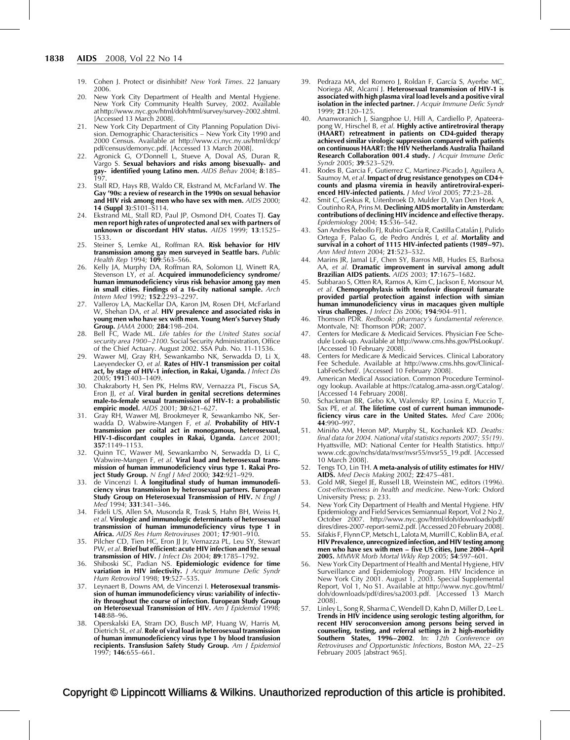- <span id="page-9-0"></span>19. Cohen J. Protect or disinhibit? New York Times. 22 January 2006.
- 20. New York City Department of Health and Mental Hygiene. New York City Community Health Survey, 2002. Available at [http://www.nyc.gov/html/doh/html/survey/survey-2002.shtml.](http://www.nyc.gov/html/doh/html/survey/survey-2002.shtml) [Accessed 13 March 2008].
- 21. New York City Department of City Planning Population Division. Demographic Characterisitics – New York City 1990 and 2000 Census. Available at [http://www.ci.nyc.ny.us/html/dcp/](http://www.ci.nyc.ny.us/html/dcp/pdf/census/demonyc.pdf) [pdf/census/demonyc.pdf.](http://www.ci.nyc.ny.us/html/dcp/pdf/census/demonyc.pdf) [Accessed 13 March 2008].
- 22. Agronick G, O'Donnell L, Stueve A, Doval AS, Duran R, Vargo S. Sexual behaviors and risks among bisexually- and Vargo S. Sexual behaviors and risks among bisexually- and gay- identified young Latino men. AIDS Behav 2004; 8:185– 197.
- 23. Stall RD, Hays RB, Waldo CR, Ekstrand M, McFarland W. The Gay '90s: a review of research in the 1990s on sexual behavior and HIV risk among men who have sex with men. AIDS 2000; 14 (Suppl 3):S101–S114.
- 24. Ekstrand ML, Stall RD, Paul JP, Osmond DH, Coates TJ. Gay men report high rates of unprotected anal sex with partners of unknown or discordant HIV status. AIDS 1999; 13:1525-1533.
- 25. Steiner S, Lemke AL, Roffman RA. Risk behavior for HIV transmission among gay men surveyed in Seattle bars. Public Health Rep 1994; 109:563–566.
- 26. Kelly JA, Murphy DA, Roffman RA, Solomon LJ, Winett RA, Stevenson LY, et al. Acquired immunodeficiency syndrome/ human immunodeficiency virus risk behavior among gay men in small cities. Findings of a 16-city national sample. Arch Intern Med 1992; 152:2293–2297.
- 27. Valleroy LA, MacKellar DA, Karon JM, Rosen DH, McFarland W, Shehan DA, et al. HIV prevalence and associated risks in young men who have sex with men. Young Men's Survey Study Group. JAMA 2000; 284:198–204.
- 28. Bell FC, Wade ML. Life tables for the United States social security area 1900–2100. Social Security Administration, Office of the Chief Actuary. August 2002. SSA Pub. No. 11-11536.
- 29. Wawer MJ, Gray RH, Sewankambo NK, Serwadda D, Li X, Laeyendecker O, et al. **Rates of HIV-1 transmission per coital** act, by stage of HIV-1 infection, in Rakai, Uganda. J Infect Dis 2005; 191:1403–1409.
- 30. Chakraborty H, Sen PK, Helms RW, Vernazza PL, Fiscus SA, Eron JJ, et al. Viral burden in genital secretions determines male-to-female sexual transmission of HIV-1: a probabilistic empiric model. AIDS 2001; 30:621–627.
- 31. Gray RH, Wawer MJ, Brookmeyer R, Sewankambo NK, Serwadda D, Wabwire-Mangen F, et *al*. **Probability of HIV-1** transmission per coital act in monogamous, heterosexual, HIV-1-discordant couples in Rakai, Uganda. Lancet 2001; 357:1149–1153.
- 32. Quinn TC, Wawer MJ, Sewankambo N, Serwadda D, Li C, Wabwire-Mangen F, et al. Viral load and heterosexual transmission of human immunodeficiency virus type 1. Rakai Project Study Group. N Engl J Med 2000; 342:921-929.
- 33. de Vincenzi I. A longitudinal study of human immunodeficiency virus transmission by heterosexual partners. European Study Group on Heterosexual Transmission of HIV.  $N$  Engl J Med 1994; 331:341–346.
- 34. Fideli US, Allen SA, Musonda R, Trask S, Hahn BH, Weiss H, et al. Virologic and immunologic determinants of heterosexual transmission of human immunodeficiency virus type 1 in Africa. AIDS Res Hum Retroviruses 2001; 17:901-910.
- 35. Pilcher CD, Tien HC, Eron JJ Jr, Vernazza PL, Leu SY, Stewart PW, et al. Brief but efficient: acute HIV infection and the sexual transmission of HIV. J Infect Dis 2004; 89:1785–1792.
- 36. Shiboski SC, Padian NS. Epidemiologic evidence for time variation in HIV infectivity. J Acquir Immune Defic Syndr Hum Retrovirol 1998; 19:527–535.
- 37. Leynaert B, Downs AM, de Vincenzi I. Heterosexual transmission of human immunodeficiency virus: variability of infectivity throughout the course of infection. European Study Group on Heterosexual Transmission of HIV. Am J Epidemiol 1998; 148:88–96.
- 38. Operskalski EA, Stram DO, Busch MP, Huang W, Harris M, Dietrich SL, et al. Role of viral load in heterosexual transmission of human immunodeficiency virus type 1 by blood transfusion recipients. Transfusion Safety Study Group. Am J Epidemiol 1997; 146:655–661.
- 39. Pedraza MA, del Romero J, Roldan F, García S, Ayerbe MC, Noriega AR, Alcamí J. Heterosexual transmission of HIV-1 is associated with high plasma viral load levels and a positive viral isolation in the infected partner. J Acquir Immune Defic Syndr 1999; 21:120–125.
- 40. Ananworanich J, Siangphoe U, Hill A, Cardiello P, Apateerapong W, Hirschel B, et al. Highly active antiretroviral therapy (HAART) retreatment in patients on CD4-guided therapy achieved similar virologic suppression compared with patients on continuous HAART: the HIV Netherlands Australia Thailand Research Collaboration 001.4 study. J Acquir Immune Defic Syndr 2005; 39:523–529.
- 41. Rodes B, Garcia F, Gutierrez C, Martinez-Picado J, Aguilera A, Saumoy M, et al. Impact of drug resistance genotypes on CD4+ counts and plasma viremia in heavily antiretroviral-experienced HIV-infected patients. J Med Virol 2005; 77:23-28
- 42. Smit C, Geskus R, Uitenbroek D, Mulder D, Van Den Hoek A, Coutinho RA, Prins M. Declining AIDS mortality in Amsterdam: contributions of declining HIV incidence and effective therapy. Epidemiology 2004; 15:536–542.
- 43. San Andres Rebollo FJ, Rubio García R, Castilla Catalán J, Pulido Ortega F, Palao G, de Pedro Andrés I, et al. Mortality and survival in a cohort of 1115 HIV-infected patients (1989–97). Ann Med Intern 2004; 21:523–532.
- 44. Marins JR, Jamal LF, Chen SY, Barros MB, Hudes ES, Barbosa AA, et al. Dramatic improvement in survival among adult Brazilian AIDS patients. AIDS 2003; 17:1675–1682.
- 45. Subbarao S, Otten RA, Ramos A, Kim C, Jackson E, Monsour M, et al. Chemoprophylaxis with tenofovir disoproxil fumarate provided partial protection against infection with simian human immunodeficiency virus in macaques given multiple virus challenges. *J Infect Dis* 2006; 194:904-911.
- 46. Thomson PDR. Redbook: pharmacy's fundamental reference. Montvale, NJ: Thomson PDR; 2007.
- 47. Centers for Medicare & Medicaid Services. Physician Fee Schedule Look-up. Available at [http://www.cms.hhs.gov/PfsLookup/.](http://www.cms.hhs.gov/PfsLookup/) [Accessed 10 February 2008].
- 48. Centers for Medicare & Medicaid Services. Clinical Laboratory Fee Schedule. Available at [http://www.cms.hhs.gov/Clinical-](http://www.cms.hhs.gov/ClinicalLabFeeSched/)[LabFeeSched/.](http://www.cms.hhs.gov/ClinicalLabFeeSched/) [Accessed 10 February 2008].
- 49. American Medical Association. Common Procedure Terminology lookup. Available at [https://catalog.ama-assn.org/Catalog/.](https://catalog.ama-assn.org/Catalog/) [Accessed 14 February 2008].
- 50. Schackman BR, Gebo KA, Walensky RP, Losina E, Muccio T, Sax PE, et al. The lifetime cost of current human immunodeficiency virus care in the United States. Med Care 2006; 44:990–997.
- 51. Miniño AM, Heron MP, Murphy SL, Kochankek KD. Deaths: final data for 2004. National vital statistics reports 2007; 55(19). Hyattsville, MD: National Center for Health Statistics. [http://](http://www.cdc.gov/nchs/data/nvsr/nvsr55/nvsr55_19.pdf) [www.cdc.gov/nchs/data/nvsr/nvsr55/nvsr55\\_19.pdf.](http://www.cdc.gov/nchs/data/nvsr/nvsr55/nvsr55_19.pdf) [Accessed 10 March 2008].
- 52. Tengs TO, Lin TH. A meta-analysis of utility estimates for HIV/ AIDS. Med Decis Making 2002; 22:475–481.
- 53. Gold MR, Siegel JE, Russell LB, Weinstein MC, editors (1996). Cost-effectiveness in health and medicine. New-York: Oxford University Press; p. 233.
- 54. New York City Department of Health and Mental Hygiene. HIV Epidemiology and Field Services Semiannual Report, Vol 2 No 2, October 2007. [http://www.nyc.gov/html/doh/downloads/pdf/](http://www.nyc.gov/html/doh/downloads/pdf/dires/dires-2007-report-semi2.pdf) [dires/dires-2007-report-semi2.pdf.](http://www.nyc.gov/html/doh/downloads/pdf/dires/dires-2007-report-semi2.pdf) [Accessed 20 February 2008].
- 55. Sifakis F, Flynn CP, Metsch L, Lalota M, Murrill C, Koblin BA, et al. HIV Prevalence, unrecognized infection, and HIV testing among men who have sex with men – five US cities, June 2004–April 2005. MMWR Morb Mortal Wkly Rep 2005; 54:597–601.
- 56. New York City Department of Health and Mental Hygiene, HIV Surveillance and Epidemiology Program. HIV Incidence in New York City 2001. August 1, 2003. Special Supplemental Report, Vol 1, No S1. Available at [http://www.nyc.gov/html/](http://www.nyc.gov/html/doh/downloads/pdf/dires/sa2003.pdf) [doh/downloads/pdf/dires/sa2003.pdf.](http://www.nyc.gov/html/doh/downloads/pdf/dires/sa2003.pdf) [Accessed 13 March 2008].
- 57. Linley L, Song R, Sharma C, Wendell D, Kahn D, Miller D, Lee L. Trends in HIV incidence using serologic testing algorithm, for recent HIV seroconversion among persons being served in counseling, testing, and referral settings in 2 high-morbidity Southern States, 1996–2002. In: 12th Conference on Retroviruses and Opportunistic Infections, Boston MA, 22–25 February 2005 [abstract 965].